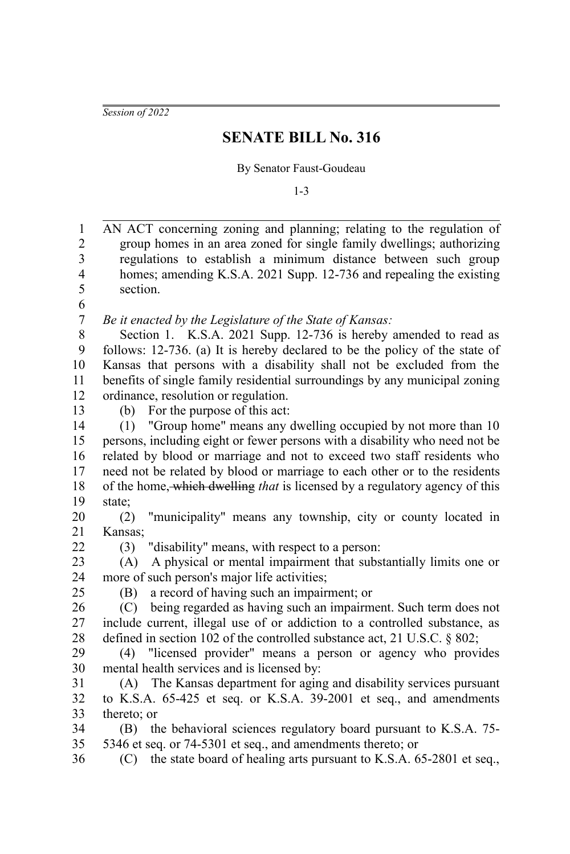*Session of 2022*

## **SENATE BILL No. 316**

## By Senator Faust-Goudeau

1-3

| $\mathbf{1}$            | AN ACT concerning zoning and planning; relating to the regulation of        |
|-------------------------|-----------------------------------------------------------------------------|
| $\boldsymbol{2}$        | group homes in an area zoned for single family dwellings; authorizing       |
| $\overline{\mathbf{3}}$ | regulations to establish a minimum distance between such group              |
| $\overline{4}$          | homes; amending K.S.A. 2021 Supp. 12-736 and repealing the existing         |
| 5                       | section.                                                                    |
| 6                       |                                                                             |
| $\boldsymbol{7}$        | Be it enacted by the Legislature of the State of Kansas:                    |
| 8                       | Section 1. K.S.A. 2021 Supp. 12-736 is hereby amended to read as            |
| 9                       | follows: 12-736. (a) It is hereby declared to be the policy of the state of |
| 10                      | Kansas that persons with a disability shall not be excluded from the        |
| 11                      | benefits of single family residential surroundings by any municipal zoning  |
| 12                      | ordinance, resolution or regulation.                                        |
| 13                      | (b) For the purpose of this act:                                            |
| 14                      | (1) "Group home" means any dwelling occupied by not more than 10            |
| 15                      | persons, including eight or fewer persons with a disability who need not be |
| 16                      | related by blood or marriage and not to exceed two staff residents who      |
| 17                      | need not be related by blood or marriage to each other or to the residents  |
| 18                      | of the home, which dwelling that is licensed by a regulatory agency of this |
| 19                      | state;                                                                      |
| 20                      | (2) "municipality" means any township, city or county located in            |
| 21                      | Kansas;                                                                     |
| 22                      | "disability" means, with respect to a person:<br>(3)                        |
| 23                      | A physical or mental impairment that substantially limits one or<br>(A)     |
| 24                      | more of such person's major life activities;                                |
| 25                      | a record of having such an impairment; or<br>(B)                            |
| 26                      | (C) being regarded as having such an impairment. Such term does not         |
| $27\,$                  | include current, illegal use of or addiction to a controlled substance, as  |
| 28                      | defined in section 102 of the controlled substance act, 21 U.S.C. § 802;    |
| 29                      | "licensed provider" means a person or agency who provides<br>(4)            |
| 30                      | mental health services and is licensed by:                                  |
| 31                      | The Kansas department for aging and disability services pursuant<br>(A)     |
| 32                      | to K.S.A. 65-425 et seq. or K.S.A. 39-2001 et seq., and amendments          |
| 33                      | thereto; or                                                                 |
| 34                      | (B) the behavioral sciences regulatory board pursuant to K.S.A. 75-         |
| 35                      | 5346 et seq. or 74-5301 et seq., and amendments thereto; or                 |
| 36                      | (C) the state board of healing arts pursuant to K.S.A. 65-2801 et seq.,     |